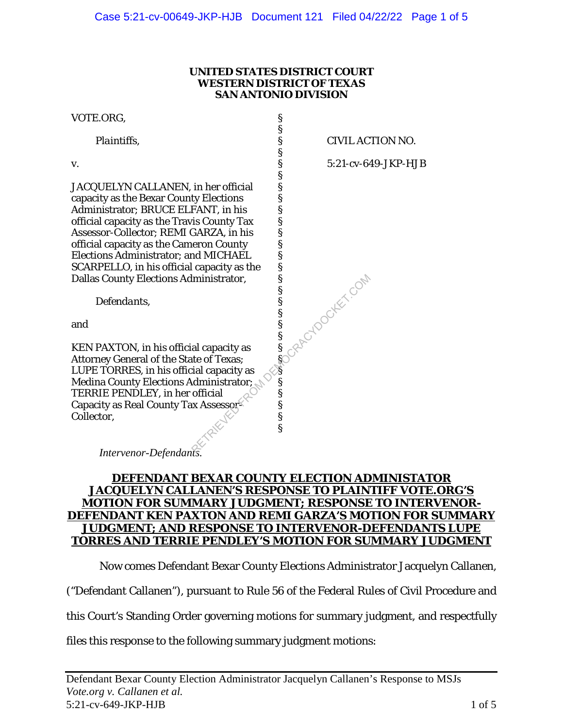#### **UNITED STATES DISTRICT COURT WESTERN DISTRICT OF TEXAS SAN ANTONIO DIVISION**

§ § § § § § § § § § § § § § § § § § § § § §( § § § § § §

| VOTE.ORG, |  |
|-----------|--|
|-----------|--|

 *Plaintiffs*,

v.

JACQUELYN CALLANEN, in her official capacity as the Bexar County Elections Administrator; BRUCE ELFANT, in his official capacity as the Travis County Tax Assessor-Collector; REMI GARZA, in his official capacity as the Cameron County Elections Administrator; and MICHAEL SCARPELLO, in his official capacity as the Dallas County Elections Administrator,

 *Defendants*,

and

KEN PAXTON, in his official capacity as Attorney General of the State of Texas; LUPE TORRES, in his official capacity as Medina County Elections Administrator; TERRIE PENDLEY, in her official Capacity as Real County Tax Assessor-Collector, RETRIEVED FROM DEMOCRACYDOCKET.COM

CIVIL ACTION NO.

5:21-cv-649-JKP-HJB

*Intervenor-Defendants.* 

## **DEFENDANT BEXAR COUNTY ELECTION ADMINISTATOR JACQUELYN CALLANEN'S RESPONSE TO PLAINTIFF VOTE.ORG'S MOTION FOR SUMMARY JUDGMENT; RESPONSE TO INTERVENOR-DEFENDANT KEN PAXTON AND REMI GARZA'S MOTION FOR SUMMARY JUDGMENT; AND RESPONSE TO INTERVENOR-DEFENDANTS LUPE TORRES AND TERRIE PENDLEY'S MOTION FOR SUMMARY JUDGMENT**

Now comes Defendant Bexar County Elections Administrator Jacquelyn Callanen,

("Defendant Callanen"), pursuant to Rule 56 of the Federal Rules of Civil Procedure and

this Court's Standing Order governing motions for summary judgment, and respectfully

files this response to the following summary judgment motions: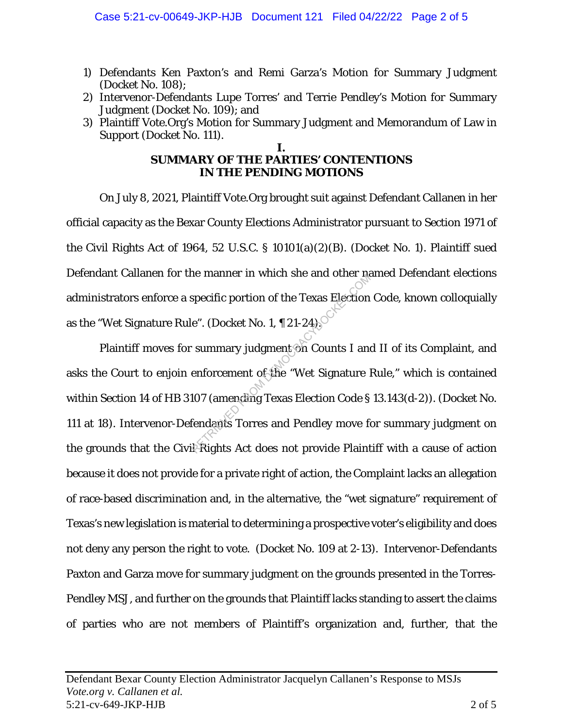- 1) Defendants Ken Paxton's and Remi Garza's Motion for Summary Judgment (Docket No. 108);
- 2) Intervenor-Defendants Lupe Torres' and Terrie Pendley's Motion for Summary Judgment (Docket No. 109); and
- 3) Plaintiff Vote.Org's Motion for Summary Judgment and Memorandum of Law in Support (Docket No. 111).

#### **I. SUMMARY OF THE PARTIES' CONTENTIONS IN THE PENDING MOTIONS**

On July 8, 2021, Plaintiff Vote.Org brought suit against Defendant Callanen in her official capacity as the Bexar County Elections Administrator pursuant to Section 1971 of the Civil Rights Act of 1964, 52 U.S.C. § 10101(a)(2)(B). (Docket No. 1). Plaintiff sued Defendant Callanen for the manner in which she and other named Defendant elections administrators enforce a specific portion of the Texas Election Code, known colloquially as the "Wet Signature Rule". (Docket No. 1, ¶ 21-24).

Plaintiff moves for summary judgment on Counts I and II of its Complaint, and asks the Court to enjoin enforcement of the "Wet Signature Rule," which is contained within Section 14 of HB 3107 (amending Texas Election Code § 13.143(d-2)). (Docket No. 111 at 18). Intervenor-Defendants Torres and Pendley move for summary judgment on the grounds that the Civil Rights Act does not provide Plaintiff with a cause of action because it does not provide for a private right of action, the Complaint lacks an allegation of race-based discrimination and, in the alternative, the "wet signature" requirement of Texas's new legislation is material to determining a prospective voter's eligibility and does not deny any person the right to vote. (Docket No. 109 at 2-13). Intervenor-Defendants Paxton and Garza move for summary judgment on the grounds presented in the Torres-Pendley MSJ, and further on the grounds that Plaintiff lacks standing to assert the claims of parties who are not members of Plaintiff's organization and, further, that the Repecific portion of the Texas Election<br>
e". (Docket No. 1, ¶ 21-24)<br>
summary judgment on Counts I and<br>
enforcement of the "Wet Signature l<br>
107 (amending Texas Election Code §<br>
fendants Torres and Pendley move for<br>
Rights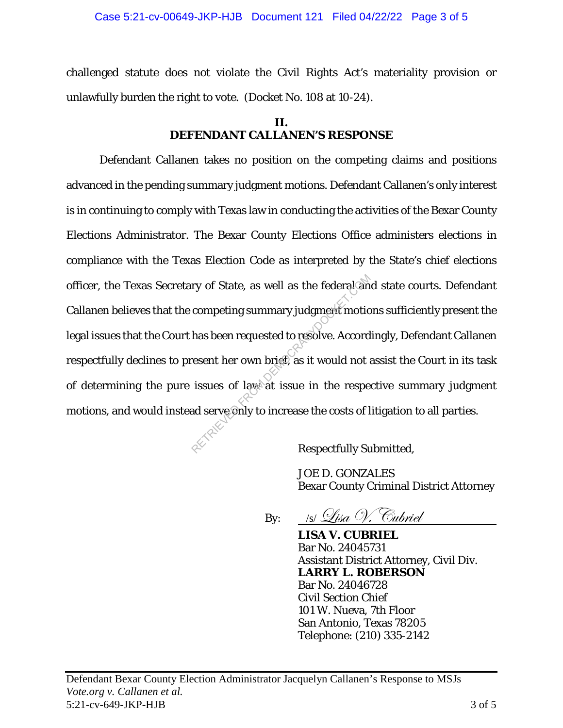challenged statute does not violate the Civil Rights Act's materiality provision or unlawfully burden the right to vote. (Docket No. 108 at 10-24).

# **II. DEFENDANT CALLANEN'S RESPONSE**

Defendant Callanen takes no position on the competing claims and positions advanced in the pending summary judgment motions. Defendant Callanen's only interest is in continuing to comply with Texas law in conducting the activities of the Bexar County Elections Administrator. The Bexar County Elections Office administers elections in compliance with the Texas Election Code as interpreted by the State's chief elections officer, the Texas Secretary of State, as well as the federal and state courts. Defendant Callanen believes that the competing summary judgment motions sufficiently present the legal issues that the Court has been requested to resolve. Accordingly, Defendant Callanen respectfully declines to present her own brief, as it would not assist the Court in its task of determining the pure issues of law at issue in the respective summary judgment motions, and would instead serve only to increase the costs of litigation to all parties. ry of State, as well as the federal and<br>competing summary judgment motio<br>has been requested to resolve. Accord<br>resent her own brief, as it would not a<br>issues of law at issue in the respe<br>ad serve only to increase the costs

Respectfully Submitted,

 JOE D. GONZALES Bexar County Criminal District Attorney

By:  $\bigcup_{|S|}\bigcup_{i\leq a}\bigcirc_i$ . Cubriel

 **LISA V. CUBRIEL** Bar No. 24045731 Assistant District Attorney, Civil Div. **LARRY L. ROBERSON** Bar No. 24046728 Civil Section Chief 101 W. Nueva, 7th Floor San Antonio, Texas 78205 Telephone: (210) 335-2142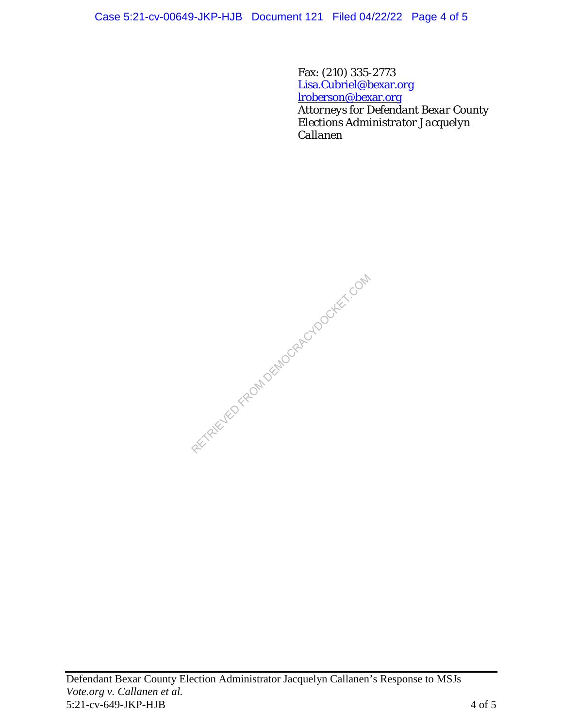Case 5:21-cv-00649-JKP-HJB Document 121 Filed 04/22/22 Page 4 of 5

 Fax: (210) 335-2773 Lisa.Cubriel@bexar.org lroberson@bexar.org *Attorneys for Defendant Bexar County Elections Administrator Jacquelyn Callanen*

RETRIEVED FROM DEMOCRACYDOCKET.COM